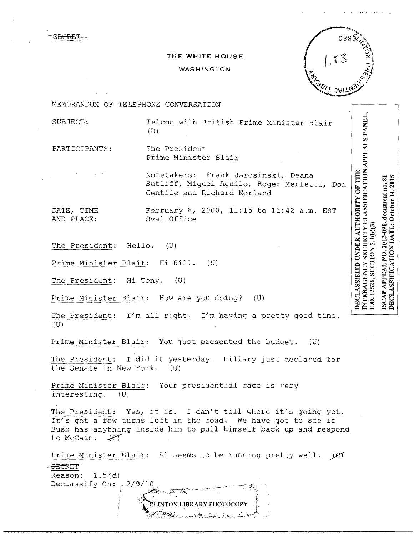3ECRBT

## **THE WHITE HOUSE**

## WASHINGTON



MEMORANDUM OF TELEPHONE CONVERSATION

SUBJECT: Telcon with British Prime Minister Blair (U)

PARTICIPANTS: The President Prime Minister Blair

> Notetakers: Frank Jarosinski, Deana Sutliff, Miguel Aguilo, Roger Merletti, Don Gentile and Richard Norland

DATE, TIME February 8, 2000, 11:15 to  $11:42$  a.m. EST AND PLACE: Oval Office

The President: Hello. (U)

Prime Minister Blair: Hi Bill. (U)

The President: Hi Tony. (U)

Prime Minister Blair: How are you doing? (U)

The President: I'm all right. I'm having a pretty good time. (U)

Prime Minister Blair: You just presented the budget. (U)

The President: I did it yesterday. Hillary just declared for<br>the Senate in New York. (U) the Senate in New York.

Prime Minister Blair: Your presidential race is very interesting. (U)

The President: Yes, it is. I can't tell where it's going yet. It's got a few turns left in the road. We have got to see if Bush has anything inside him to pull himself back up and respond to McCain.  $\angle$ 

Prime Minister Blair: Al seems to be running pretty well. *(C)* -<del>SECRE</del>T Reason:  $1.5(d)$ Declassify On:  $-2/9/10$ 

> $~$ INTON LIBRARY PHOTOCOPY '·<::~'t~-~~·...'.\_.:..-\_r-\_:-..~- ';'-:;=-;•\_.":}:,.::..;...•. ,. :~....,:;\_.,\_-~Fr,--:-~:·

INTERAGENCY SECURITY CLASSIFICATION APPEALS PANEL, DECLASSIFICATION DATE: October 14, 2015 ISCAP APPEAL NO. 2013-090, document no. 81 E.O. 13526, SECTION 5.3(b)(3)

**DECLASSIFIED UNDER AUTHORITY OF THE**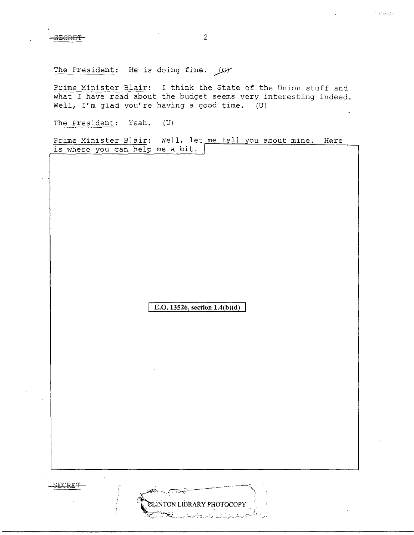$\sim$   $\approx$   $\approx$   $\approx$ 

The President: He is doing fine.  $\Box$ 

Prime Minister Blair: I think the State of the Union stuff and what I have read about the budget seems very interesting indeed. Well, I'm glad you're having a good time. (U)

The President: Yeah. (U)

Prime Minister Blair: Well, let me tell you about mine. Here is where you can help me a bit.

**E.O. 13526, section 1.4(b)(d)** 

LINTON LIBRARY PHOTOCOPY

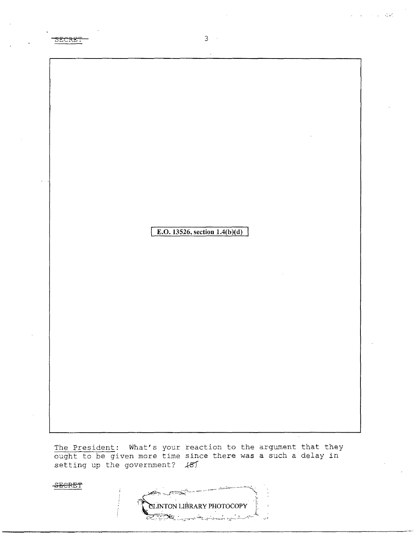SECRET

8ECRE'f

3

**E.O. 13526, section 1.4(b)(d)** 

The President: What's your reaction to the argument that they ought to be given more time since there was a such a delay in setting up the government?  $#5T$ 

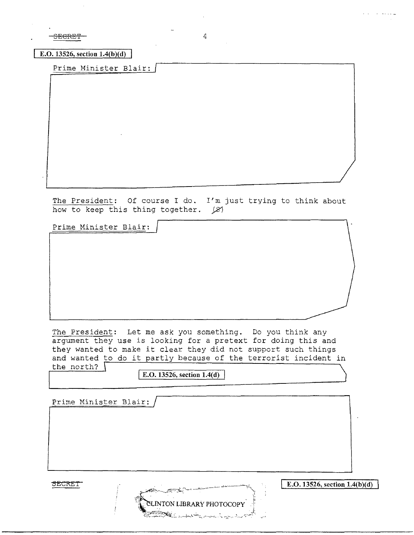SECRET 4

**E.O. 13526, section 1.4(b)(d)** 

Prime Minister Blair:

The President: Of course I do. I'm just trying to think about how to keep this thing together.  $|S|$ 

Prime Minister Blair:

The President: Let me ask you something. Do you think any argument they use is looking for a pretext for doing this and they wanted to make it clear they did not support such things and wanted to do it partly because of the terrorist incident in the north? \

SLINTON LIBRARY PHOTOCOPY

I <sup>I</sup>**E.O. 13526, section** 1.4(**d)**

/ Prime Minister Blair:

SECRET

**E.0.13526, section 1.4(b)(d)** 

يونين والمتحدث والمرابط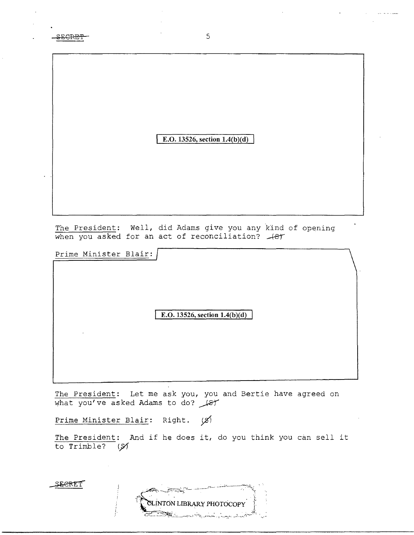| <del>SECRET</del> |  |
|-------------------|--|
|                   |  |

**E.O. 13526, section l.4(b**)(d)

The President: Well, did Adams give you any kind of opening<br>when you asked for an act of reconciliation? <del>(8)</del>

Prime Minister Blair:

|        | E.O. 13526, section $1.4(b)(d)$ |  |
|--------|---------------------------------|--|
| $\sim$ |                                 |  |
|        |                                 |  |
|        |                                 |  |

The President: Let me ask you, you and Bertie have agreed on  $$\mu$$ hat you've asked Adams to do?  $$\mu$$ 

Prime Minister Blair: Right.  $\emptyset$ 

The President: And if he does it, do you think you can sell it to Trimble? ( $\cancel{51}$ 

SEERET

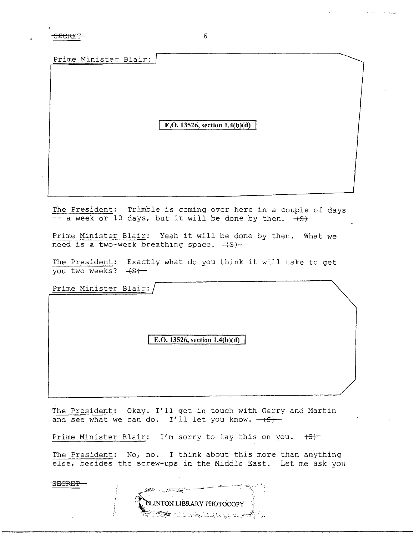SECRET 6

Prime Minister Blair:

E.O. 13526, section  $1.4(b)(d)$ 

The President: Trimble is coming over here in a couple of days  $-$  a week or 10 days, but it will be done by then.  $+S$ 

Prime Minister Blair: Yeah it will be done by then. What we need is a two-week breathing space.  $+S$ -

The President: Exactly what do you think it will take to get you two weeks?  $+$ s $+$ 

Prime Minister Blair:

3ECRE'f'

E.O. 13526, section  $1.4(b)(d)$ 

The President: Okay. I'll get in touch with Gerry and Martin and see what we can do. I'll let you know.  $-(s)$ 

Prime Minister Blair: I'm sorry to lay this on you.  $\left(5\right)$ 

The President: No, no. I think about this more than anything else, besides the screw-ups in the Middle East. Let me ask you

**CLINTON LIBRARY PHOTOCOPY**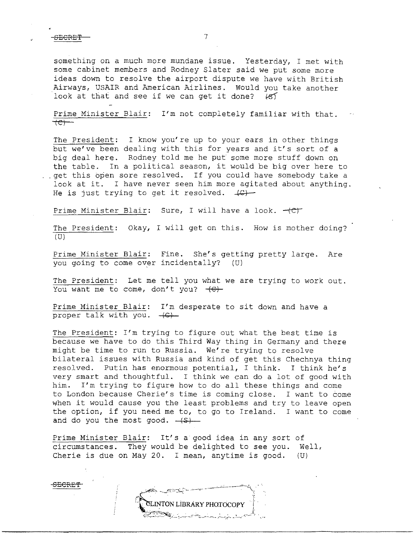SECRET<sup>-</sup>

something on a much more mundane issue. Yesterday, I met with some cabinet members and Rodney Slater said we put some more ideas down to resolve the airport dispute we have with British Airways, USAIR and American Airlines. Would you take another look at that and see if we can get it done?  $\{8\}$ 

Prime Minister Blair: I'm not completely familiar with that.  $+e$ )

The President: I know you're up to your ears in other things but we've been dealing with this for years and it's sort of a big deal here. Rodney told me he put some more stuff down on the table. In a political season, it would be big over here to . . get this open sore resolved. If you could have somebody take a look at it. I have never seen him more agitated about anything. He is just trying to get it resolved.  $\downarrow \mathbb{C}$ )

Prime Minister Blair: Sure, I will have a look.  $+CT$ 

The President: Okay, I will get on this. How is mother doing?  $(U)$ 

Prime Minister Blair: Fine. She's getting pretty large. Are you going to come over incidentally? (U)

The President: Let me tell you what we are trying to work out. You want me to come, don't you?  $+C$ +

Prime Minister Blair: I'm desperate to sit down and have a proper talk with you.  $+G$ -

The President: I'm trying to figure out what the best time is because we have to do this Third Way thing in Germany and there might be time to run to Russia. We're trying to resolve bilateral issues with Russia and kind of get this Chechnya thing resolved. Putin has enormous potential, I think. I think he's very smart and thoughtful. I think we can do a lot of good with him. I'm trying to figure how to do all these things and come to London because Cherie's time is coming close. I want to come when it would cause you the least problems and try to leave open the option, if you need me to, to go to Ireland. I want to come and do you the most good.  $($ 

Prime Minister Blair: It's a good idea in any sort of circumstances. They would be delighted to see you. Well, Cherie is due on May 20. I mean, anytime is good. (U)

**CLINTON LIBRARY PHOTOCOPY**